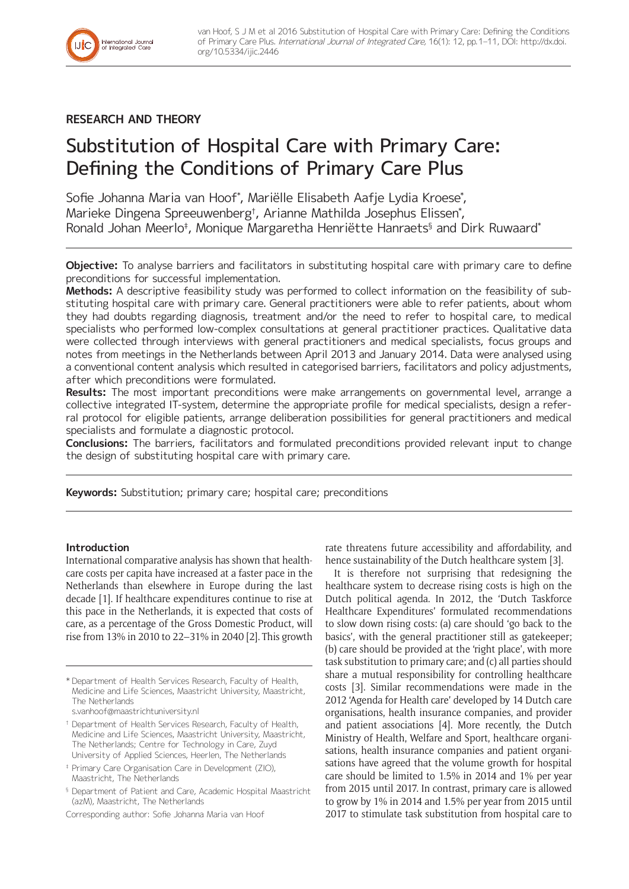

# **RESEARCH AND THEORY**

# Substitution of Hospital Care with Primary Care: Defining the Conditions of Primary Care Plus

Sofie Johanna Maria van Hoof\* , Mariëlle Elisabeth Aafje Lydia Kroese\* , Marieke Dingena Spreeuwenberg† , Arianne Mathilda Josephus Elissen\* , Ronald Johan Meerlo‡ , Monique Margaretha Henriëtte Hanraets§ and Dirk Ruwaard\*

**Objective:** To analyse barriers and facilitators in substituting hospital care with primary care to define preconditions for successful implementation.

**Methods:** A descriptive feasibility study was performed to collect information on the feasibility of substituting hospital care with primary care. General practitioners were able to refer patients, about whom they had doubts regarding diagnosis, treatment and/or the need to refer to hospital care, to medical specialists who performed low-complex consultations at general practitioner practices. Qualitative data were collected through interviews with general practitioners and medical specialists, focus groups and notes from meetings in the Netherlands between April 2013 and January 2014. Data were analysed using a conventional content analysis which resulted in categorised barriers, facilitators and policy adjustments, after which preconditions were formulated.

**Results:** The most important preconditions were make arrangements on governmental level, arrange a collective integrated IT-system, determine the appropriate profile for medical specialists, design a referral protocol for eligible patients, arrange deliberation possibilities for general practitioners and medical specialists and formulate a diagnostic protocol.

**Conclusions:** The barriers, facilitators and formulated preconditions provided relevant input to change the design of substituting hospital care with primary care.

**Keywords:** Substitution; primary care; hospital care; preconditions

# **Introduction**

International comparative analysis has shown that healthcare costs per capita have increased at a faster pace in the Netherlands than elsewhere in Europe during the last decade [1]. If healthcare expenditures continue to rise at this pace in the Netherlands, it is expected that costs of care, as a percentage of the Gross Domestic Product, will rise from 13% in 2010 to 22–31% in 2040 [2]. This growth

rate threatens future accessibility and affordability, and hence sustainability of the Dutch healthcare system [3].

It is therefore not surprising that redesigning the healthcare system to decrease rising costs is high on the Dutch political agenda. In 2012, the 'Dutch Taskforce Healthcare Expenditures' formulated recommendations to slow down rising costs: (a) care should 'go back to the basics', with the general practitioner still as gatekeeper; (b) care should be provided at the 'right place', with more task substitution to primary care; and (c) all parties should share a mutual responsibility for controlling healthcare costs [3]. Similar recommendations were made in the 2012 'Agenda for Health care' developed by 14 Dutch care organisations, health insurance companies, and provider and patient associations [4]. More recently, the Dutch Ministry of Health, Welfare and Sport, healthcare organisations, health insurance companies and patient organisations have agreed that the volume growth for hospital care should be limited to 1.5% in 2014 and 1% per year from 2015 until 2017. In contrast, primary care is allowed to grow by 1% in 2014 and 1.5% per year from 2015 until 2017 to stimulate task substitution from hospital care to

<sup>\*</sup> Department of Health Services Research, Faculty of Health, Medicine and Life Sciences, Maastricht University, Maastricht, The Netherlands [s.vanhoof@maastrichtuniversity.nl](mailto:s.vanhoof@maastrichtuniversity.nl)

<sup>†</sup> Department of Health Services Research, Faculty of Health, Medicine and Life Sciences, Maastricht University, Maastricht, The Netherlands; Centre for Technology in Care, Zuyd University of Applied Sciences, Heerlen, The Netherlands

<sup>‡</sup> Primary Care Organisation Care in Development (ZIO), Maastricht, The Netherlands

<sup>§</sup> Department of Patient and Care, Academic Hospital Maastricht (azM), Maastricht, The Netherlands

Corresponding author: Sofie Johanna Maria van Hoof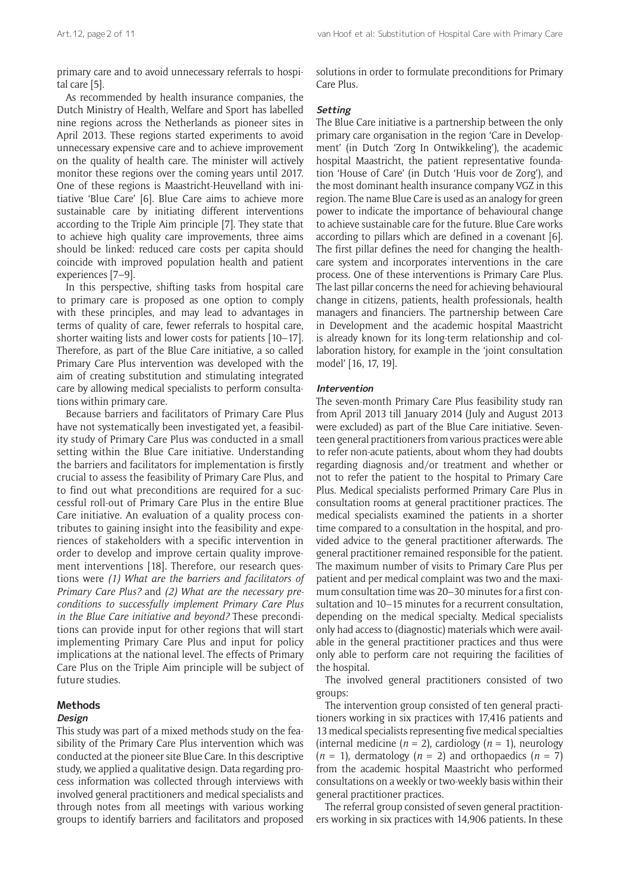primary care and to avoid unnecessary referrals to hospital care [5].

As recommended by health insurance companies, the Dutch Ministry of Health, Welfare and Sport has labelled nine regions across the Netherlands as pioneer sites in April 2013. These regions started experiments to avoid unnecessary expensive care and to achieve improvement on the quality of health care. The minister will actively monitor these regions over the coming years until 2017. One of these regions is Maastricht-Heuvelland with initiative 'Blue Care' [6]. Blue Care aims to achieve more sustainable care by initiating different interventions according to the Triple Aim principle [7]. They state that to achieve high quality care improvements, three aims should be linked: reduced care costs per capita should coincide with improved population health and patient experiences [7–9].

In this perspective, shifting tasks from hospital care to primary care is proposed as one option to comply with these principles, and may lead to advantages in terms of quality of care, fewer referrals to hospital care, shorter waiting lists and lower costs for patients [10–17]. Therefore, as part of the Blue Care initiative, a so called Primary Care Plus intervention was developed with the aim of creating substitution and stimulating integrated care by allowing medical specialists to perform consultations within primary care.

Because barriers and facilitators of Primary Care Plus have not systematically been investigated yet, a feasibility study of Primary Care Plus was conducted in a small setting within the Blue Care initiative. Understanding the barriers and facilitators for implementation is firstly crucial to assess the feasibility of Primary Care Plus, and to find out what preconditions are required for a successful roll-out of Primary Care Plus in the entire Blue Care initiative. An evaluation of a quality process contributes to gaining insight into the feasibility and experiences of stakeholders with a specific intervention in order to develop and improve certain quality improvement interventions [18]. Therefore, our research questions were *(1) What are the barriers and facilitators of Primary Care Plus?* and *(2) What are the necessary preconditions to successfully implement Primary Care Plus in the Blue Care initiative and beyond?* These preconditions can provide input for other regions that will start implementing Primary Care Plus and input for policy implications at the national level. The effects of Primary Care Plus on the Triple Aim principle will be subject of future studies.

#### **Methods**

#### **Design**

This study was part of a mixed methods study on the feasibility of the Primary Care Plus intervention which was conducted at the pioneer site Blue Care. In this descriptive study, we applied a qualitative design. Data regarding process information was collected through interviews with involved general practitioners and medical specialists and through notes from all meetings with various working groups to identify barriers and facilitators and proposed solutions in order to formulate preconditions for Primary Care Plus.

#### **Setting**

The Blue Care initiative is a partnership between the only primary care organisation in the region 'Care in Development' (in Dutch 'Zorg In Ontwikkeling'), the academic hospital Maastricht, the patient representative foundation 'House of Care' (in Dutch 'Huis voor de Zorg'), and the most dominant health insurance company VGZ in this region. The name Blue Care is used as an analogy for green power to indicate the importance of behavioural change to achieve sustainable care for the future. Blue Care works according to pillars which are defined in a covenant [6]. The first pillar defines the need for changing the healthcare system and incorporates interventions in the care process. One of these interventions is Primary Care Plus. The last pillar concerns the need for achieving behavioural change in citizens, patients, health professionals, health managers and financiers. The partnership between Care in Development and the academic hospital Maastricht is already known for its long-term relationship and collaboration history, for example in the 'joint consultation model' [16, 17, 19].

#### **Intervention**

The seven-month Primary Care Plus feasibility study ran from April 2013 till January 2014 (July and August 2013 were excluded) as part of the Blue Care initiative. Seventeen general practitioners from various practices were able to refer non-acute patients, about whom they had doubts regarding diagnosis and/or treatment and whether or not to refer the patient to the hospital to Primary Care Plus. Medical specialists performed Primary Care Plus in consultation rooms at general practitioner practices. The medical specialists examined the patients in a shorter time compared to a consultation in the hospital, and provided advice to the general practitioner afterwards. The general practitioner remained responsible for the patient. The maximum number of visits to Primary Care Plus per patient and per medical complaint was two and the maximum consultation time was 20–30 minutes for a first consultation and 10–15 minutes for a recurrent consultation, depending on the medical specialty. Medical specialists only had access to (diagnostic) materials which were available in the general practitioner practices and thus were only able to perform care not requiring the facilities of the hospital.

The involved general practitioners consisted of two groups:

The intervention group consisted of ten general practitioners working in six practices with 17,416 patients and 13 medical specialists representing five medical specialties (internal medicine  $(n = 2)$ , cardiology  $(n = 1)$ , neurology  $(n = 1)$ , dermatology  $(n = 2)$  and orthopaedics  $(n = 7)$ from the academic hospital Maastricht who performed consultations on a weekly or two-weekly basis within their general practitioner practices.

The referral group consisted of seven general practitioners working in six practices with 14,906 patients. In these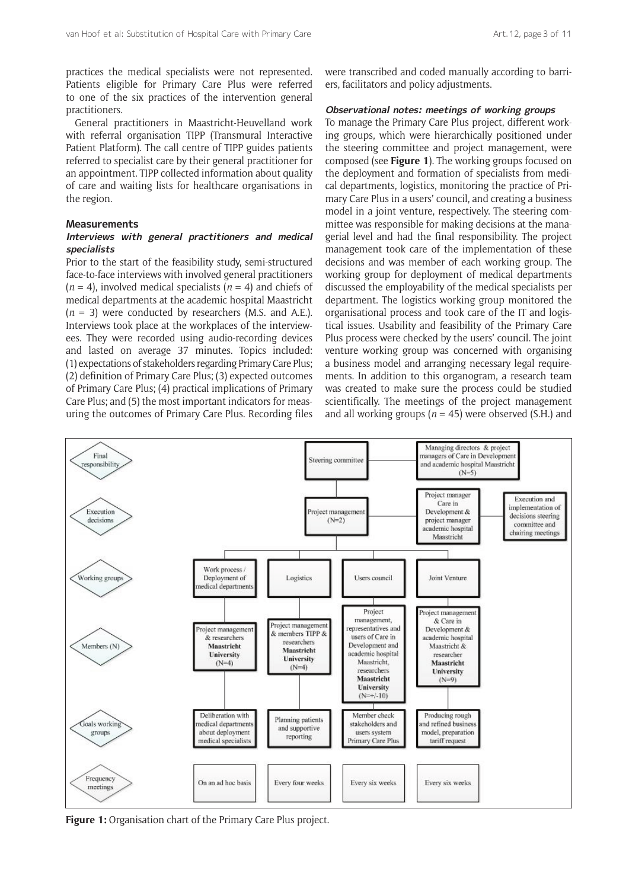practices the medical specialists were not represented. Patients eligible for Primary Care Plus were referred to one of the six practices of the intervention general practitioners.

General practitioners in Maastricht-Heuvelland work with referral organisation TIPP (Transmural Interactive Patient Platform). The call centre of TIPP guides patients referred to specialist care by their general practitioner for an appointment. TIPP collected information about quality of care and waiting lists for healthcare organisations in the region.

## **Measurements**

#### **Interviews with general practitioners and medical specialists**

Prior to the start of the feasibility study, semi-structured face-to-face interviews with involved general practitioners  $(n = 4)$ , involved medical specialists  $(n = 4)$  and chiefs of medical departments at the academic hospital Maastricht (*n* = 3) were conducted by researchers (M.S. and A.E.). Interviews took place at the workplaces of the interviewees. They were recorded using audio-recording devices and lasted on average 37 minutes. Topics included: (1) expectations of stakeholders regarding Primary Care Plus; (2) definition of Primary Care Plus; (3) expected outcomes of Primary Care Plus; (4) practical implications of Primary Care Plus; and (5) the most important indicators for measuring the outcomes of Primary Care Plus. Recording files were transcribed and coded manually according to barriers, facilitators and policy adjustments.

#### **Observational notes: meetings of working groups**

To manage the Primary Care Plus project, different working groups, which were hierarchically positioned under the steering committee and project management, were composed (see **Figure 1**). The working groups focused on the deployment and formation of specialists from medical departments, logistics, monitoring the practice of Primary Care Plus in a users' council, and creating a business model in a joint venture, respectively. The steering committee was responsible for making decisions at the managerial level and had the final responsibility. The project management took care of the implementation of these decisions and was member of each working group. The working group for deployment of medical departments discussed the employability of the medical specialists per department. The logistics working group monitored the organisational process and took care of the IT and logistical issues. Usability and feasibility of the Primary Care Plus process were checked by the users' council. The joint venture working group was concerned with organising a business model and arranging necessary legal requirements. In addition to this organogram, a research team was created to make sure the process could be studied scientifically. The meetings of the project management and all working groups ( $n = 45$ ) were observed (S.H.) and



**Figure 1:** Organisation chart of the Primary Care Plus project.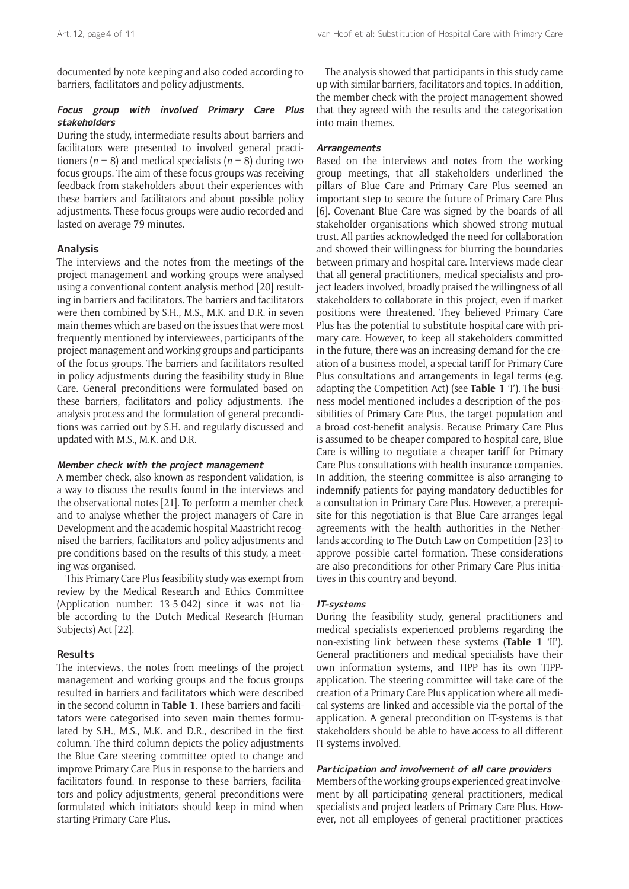documented by note keeping and also coded according to barriers, facilitators and policy adjustments.

# **Focus group with involved Primary Care Plus stakeholders**

During the study, intermediate results about barriers and facilitators were presented to involved general practitioners ( $n = 8$ ) and medical specialists ( $n = 8$ ) during two focus groups. The aim of these focus groups was receiving feedback from stakeholders about their experiences with these barriers and facilitators and about possible policy adjustments. These focus groups were audio recorded and lasted on average 79 minutes.

## **Analysis**

The interviews and the notes from the meetings of the project management and working groups were analysed using a conventional content analysis method [20] resulting in barriers and facilitators. The barriers and facilitators were then combined by S.H., M.S., M.K. and D.R. in seven main themes which are based on the issues that were most frequently mentioned by interviewees, participants of the project management and working groups and participants of the focus groups. The barriers and facilitators resulted in policy adjustments during the feasibility study in Blue Care. General preconditions were formulated based on these barriers, facilitators and policy adjustments. The analysis process and the formulation of general preconditions was carried out by S.H. and regularly discussed and updated with M.S., M.K. and D.R.

#### **Member check with the project management**

A member check, also known as respondent validation, is a way to discuss the results found in the interviews and the observational notes [21]. To perform a member check and to analyse whether the project managers of Care in Development and the academic hospital Maastricht recognised the barriers, facilitators and policy adjustments and pre-conditions based on the results of this study, a meeting was organised.

This Primary Care Plus feasibility study was exempt from review by the Medical Research and Ethics Committee (Application number: 13-5-042) since it was not liable according to the Dutch Medical Research (Human Subjects) Act [22].

#### **Results**

The interviews, the notes from meetings of the project management and working groups and the focus groups resulted in barriers and facilitators which were described in the second column in **Table 1**. These barriers and facilitators were categorised into seven main themes formulated by S.H., M.S., M.K. and D.R., described in the first column. The third column depicts the policy adjustments the Blue Care steering committee opted to change and improve Primary Care Plus in response to the barriers and facilitators found. In response to these barriers, facilitators and policy adjustments, general preconditions were formulated which initiators should keep in mind when starting Primary Care Plus.

The analysis showed that participants in this study came up with similar barriers, facilitators and topics. In addition, the member check with the project management showed that they agreed with the results and the categorisation into main themes.

#### **Arrangements**

Based on the interviews and notes from the working group meetings, that all stakeholders underlined the pillars of Blue Care and Primary Care Plus seemed an important step to secure the future of Primary Care Plus [6]. Covenant Blue Care was signed by the boards of all stakeholder organisations which showed strong mutual trust. All parties acknowledged the need for collaboration and showed their willingness for blurring the boundaries between primary and hospital care. Interviews made clear that all general practitioners, medical specialists and project leaders involved, broadly praised the willingness of all stakeholders to collaborate in this project, even if market positions were threatened. They believed Primary Care Plus has the potential to substitute hospital care with primary care. However, to keep all stakeholders committed in the future, there was an increasing demand for the creation of a business model, a special tariff for Primary Care Plus consultations and arrangements in legal terms (e.g. adapting the Competition Act) (see **Table 1** 'I'). The business model mentioned includes a description of the possibilities of Primary Care Plus, the target population and a broad cost-benefit analysis. Because Primary Care Plus is assumed to be cheaper compared to hospital care, Blue Care is willing to negotiate a cheaper tariff for Primary Care Plus consultations with health insurance companies. In addition, the steering committee is also arranging to indemnify patients for paying mandatory deductibles for a consultation in Primary Care Plus. However, a prerequisite for this negotiation is that Blue Care arranges legal agreements with the health authorities in the Netherlands according to The Dutch Law on Competition [23] to approve possible cartel formation. These considerations are also preconditions for other Primary Care Plus initiatives in this country and beyond.

#### **IT-systems**

During the feasibility study, general practitioners and medical specialists experienced problems regarding the non-existing link between these systems (**Table 1** 'II'). General practitioners and medical specialists have their own information systems, and TIPP has its own TIPPapplication. The steering committee will take care of the creation of a Primary Care Plus application where all medical systems are linked and accessible via the portal of the application. A general precondition on IT-systems is that stakeholders should be able to have access to all different IT-systems involved.

#### **Participation and involvement of all care providers**

Members of the working groups experienced great involvement by all participating general practitioners, medical specialists and project leaders of Primary Care Plus. However, not all employees of general practitioner practices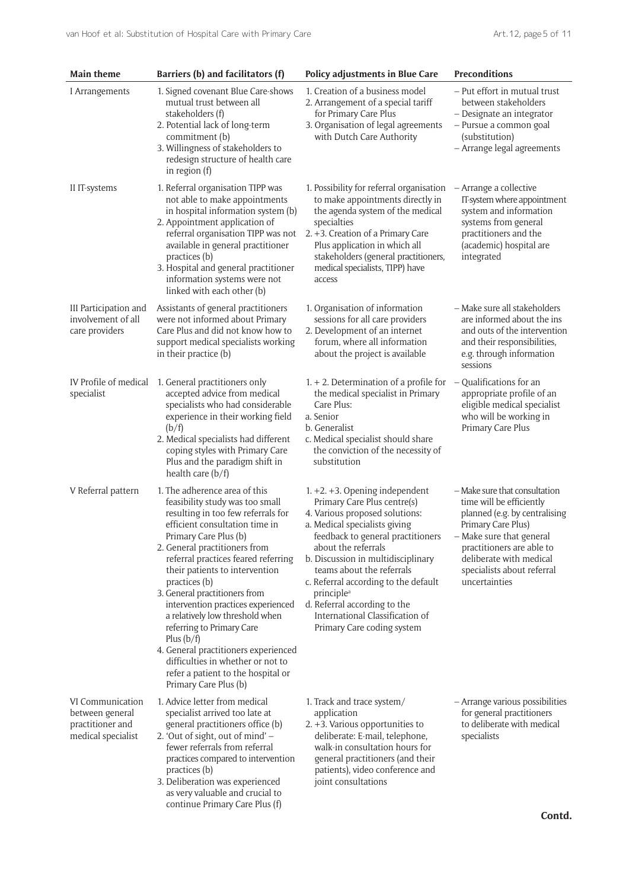| <b>Main theme</b>                                                             | Barriers (b) and facilitators (f)                                                                                                                                                                                                                                                                                                                                                                                                                                                                                                                                                               | <b>Policy adjustments in Blue Care</b>                                                                                                                                                                                                                                                                                                                                                                                               | <b>Preconditions</b>                                                                                                                                                                                                                                |
|-------------------------------------------------------------------------------|-------------------------------------------------------------------------------------------------------------------------------------------------------------------------------------------------------------------------------------------------------------------------------------------------------------------------------------------------------------------------------------------------------------------------------------------------------------------------------------------------------------------------------------------------------------------------------------------------|--------------------------------------------------------------------------------------------------------------------------------------------------------------------------------------------------------------------------------------------------------------------------------------------------------------------------------------------------------------------------------------------------------------------------------------|-----------------------------------------------------------------------------------------------------------------------------------------------------------------------------------------------------------------------------------------------------|
| I Arrangements                                                                | 1. Signed covenant Blue Care-shows<br>mutual trust between all<br>stakeholders (f)<br>2. Potential lack of long-term<br>commitment (b)<br>3. Willingness of stakeholders to<br>redesign structure of health care<br>in region (f)                                                                                                                                                                                                                                                                                                                                                               | 1. Creation of a business model<br>2. Arrangement of a special tariff<br>for Primary Care Plus<br>3. Organisation of legal agreements<br>with Dutch Care Authority                                                                                                                                                                                                                                                                   | - Put effort in mutual trust<br>between stakeholders<br>- Designate an integrator<br>- Pursue a common goal<br>(substitution)<br>- Arrange legal agreements                                                                                         |
| II IT-systems                                                                 | 1. Referral organisation TIPP was<br>not able to make appointments<br>in hospital information system (b)<br>2. Appointment application of<br>referral organisation TIPP was not<br>available in general practitioner<br>practices (b)<br>3. Hospital and general practitioner<br>information systems were not<br>linked with each other (b)                                                                                                                                                                                                                                                     | 1. Possibility for referral organisation<br>to make appointments directly in<br>the agenda system of the medical<br>specialties<br>2. +3. Creation of a Primary Care<br>Plus application in which all<br>stakeholders (general practitioners,<br>medical specialists, TIPP) have<br>access                                                                                                                                           | – Arrange a collective<br>IT-system where appointment<br>system and information<br>systems from general<br>practitioners and the<br>(academic) hospital are<br>integrated                                                                           |
| III Participation and<br>involvement of all<br>care providers                 | Assistants of general practitioners<br>were not informed about Primary<br>Care Plus and did not know how to<br>support medical specialists working<br>in their practice (b)                                                                                                                                                                                                                                                                                                                                                                                                                     | 1. Organisation of information<br>sessions for all care providers<br>2. Development of an internet<br>forum, where all information<br>about the project is available                                                                                                                                                                                                                                                                 | - Make sure all stakeholders<br>are informed about the ins<br>and outs of the intervention<br>and their responsibilities,<br>e.g. through information<br>sessions                                                                                   |
| IV Profile of medical<br>specialist                                           | 1. General practitioners only<br>accepted advice from medical<br>specialists who had considerable<br>experience in their working field<br>(b/f)<br>2. Medical specialists had different<br>coping styles with Primary Care<br>Plus and the paradigm shift in<br>health care $(b/f)$                                                                                                                                                                                                                                                                                                             | $1. + 2.$ Determination of a profile for<br>the medical specialist in Primary<br>Care Plus:<br>a. Senior<br>b. Generalist<br>c. Medical specialist should share<br>the conviction of the necessity of<br>substitution                                                                                                                                                                                                                | Qualifications for an<br>appropriate profile of an<br>eligible medical specialist<br>who will be working in<br>Primary Care Plus                                                                                                                    |
| V Referral pattern                                                            | 1. The adherence area of this<br>feasibility study was too small<br>resulting in too few referrals for<br>efficient consultation time in<br>Primary Care Plus (b)<br>2. General practitioners from<br>referral practices feared referring<br>their patients to intervention<br>practices (b)<br>3. General practitioners from<br>intervention practices experienced<br>a relatively low threshold when<br>referring to Primary Care<br>Plus $(b/f)$<br>4. General practitioners experienced<br>difficulties in whether or not to<br>refer a patient to the hospital or<br>Primary Care Plus (b) | $1. +2. +3.$ Opening independent<br>Primary Care Plus centre(s)<br>4. Various proposed solutions:<br>a. Medical specialists giving<br>feedback to general practitioners<br>about the referrals<br>b. Discussion in multidisciplinary<br>teams about the referrals<br>c. Referral according to the default<br>principle <sup>a</sup><br>d. Referral according to the<br>International Classification of<br>Primary Care coding system | - Make sure that consultation<br>time will be efficiently<br>planned (e.g. by centralising<br>Primary Care Plus)<br>- Make sure that general<br>practitioners are able to<br>deliberate with medical<br>specialists about referral<br>uncertainties |
| VI Communication<br>between general<br>practitioner and<br>medical specialist | 1. Advice letter from medical<br>specialist arrived too late at<br>general practitioners office (b)<br>2. 'Out of sight, out of mind' -<br>fewer referrals from referral<br>practices compared to intervention<br>practices (b)<br>3. Deliberation was experienced<br>as very valuable and crucial to<br>continue Primary Care Plus (f)                                                                                                                                                                                                                                                         | 1. Track and trace system/<br>application<br>2. +3. Various opportunities to<br>deliberate: E-mail, telephone,<br>walk-in consultation hours for<br>general practitioners (and their<br>patients), video conference and<br>joint consultations                                                                                                                                                                                       | - Arrange various possibilities<br>for general practitioners<br>to deliberate with medical<br>specialists                                                                                                                                           |
|                                                                               |                                                                                                                                                                                                                                                                                                                                                                                                                                                                                                                                                                                                 |                                                                                                                                                                                                                                                                                                                                                                                                                                      | Contd.                                                                                                                                                                                                                                              |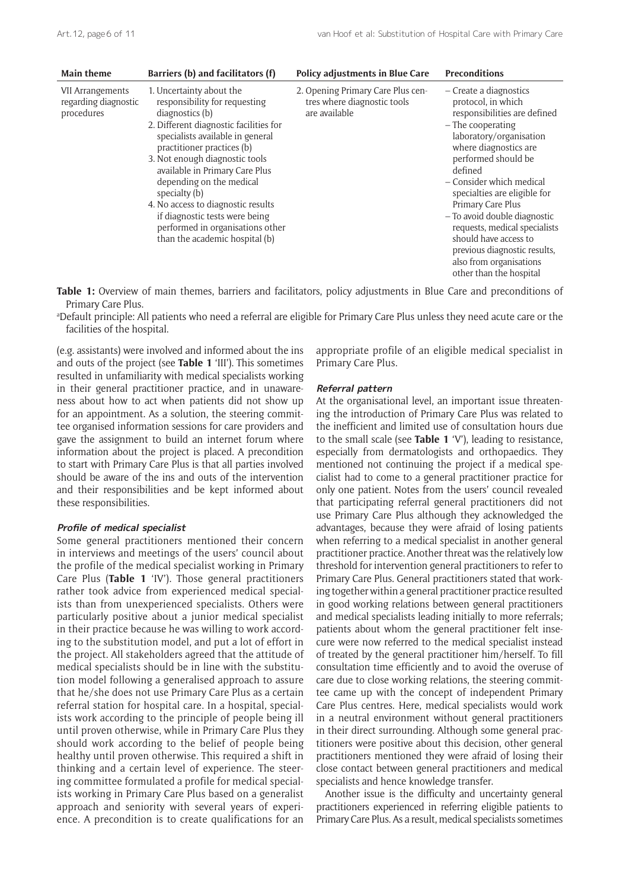| <b>Main theme</b>                                             | Barriers (b) and facilitators (f)                                                                                                                                                                                                                                                                                                                                                                                                                       | Policy adjustments in Blue Care                                                   | <b>Preconditions</b>                                                                                                                                                                                                                                                                                                                                                                                                                                       |
|---------------------------------------------------------------|---------------------------------------------------------------------------------------------------------------------------------------------------------------------------------------------------------------------------------------------------------------------------------------------------------------------------------------------------------------------------------------------------------------------------------------------------------|-----------------------------------------------------------------------------------|------------------------------------------------------------------------------------------------------------------------------------------------------------------------------------------------------------------------------------------------------------------------------------------------------------------------------------------------------------------------------------------------------------------------------------------------------------|
| <b>VII Arrangements</b><br>regarding diagnostic<br>procedures | 1. Uncertainty about the<br>responsibility for requesting<br>diagnostics (b)<br>2. Different diagnostic facilities for<br>specialists available in general<br>practitioner practices (b)<br>3. Not enough diagnostic tools<br>available in Primary Care Plus<br>depending on the medical<br>specialty (b)<br>4. No access to diagnostic results<br>if diagnostic tests were being<br>performed in organisations other<br>than the academic hospital (b) | 2. Opening Primary Care Plus cen-<br>tres where diagnostic tools<br>are available | - Create a diagnostics<br>protocol, in which<br>responsibilities are defined<br>$-$ The cooperating<br>laboratory/organisation<br>where diagnostics are<br>performed should be<br>defined<br>- Consider which medical<br>specialties are eligible for<br>Primary Care Plus<br>- To avoid double diagnostic<br>requests, medical specialists<br>should have access to<br>previous diagnostic results,<br>also from organisations<br>other than the hospital |

**Table 1:** Overview of main themes, barriers and facilitators, policy adjustments in Blue Care and preconditions of Primary Care Plus.

a Default principle: All patients who need a referral are eligible for Primary Care Plus unless they need acute care or the facilities of the hospital.

(e.g. assistants) were involved and informed about the ins and outs of the project (see **Table 1** 'III'). This sometimes resulted in unfamiliarity with medical specialists working in their general practitioner practice, and in unawareness about how to act when patients did not show up for an appointment. As a solution, the steering committee organised information sessions for care providers and gave the assignment to build an internet forum where information about the project is placed. A precondition to start with Primary Care Plus is that all parties involved should be aware of the ins and outs of the intervention and their responsibilities and be kept informed about these responsibilities.

#### **Profile of medical specialist**

Some general practitioners mentioned their concern in interviews and meetings of the users' council about the profile of the medical specialist working in Primary Care Plus (**Table 1** 'IV'). Those general practitioners rather took advice from experienced medical specialists than from unexperienced specialists. Others were particularly positive about a junior medical specialist in their practice because he was willing to work according to the substitution model, and put a lot of effort in the project. All stakeholders agreed that the attitude of medical specialists should be in line with the substitution model following a generalised approach to assure that he/she does not use Primary Care Plus as a certain referral station for hospital care. In a hospital, specialists work according to the principle of people being ill until proven otherwise, while in Primary Care Plus they should work according to the belief of people being healthy until proven otherwise. This required a shift in thinking and a certain level of experience. The steering committee formulated a profile for medical specialists working in Primary Care Plus based on a generalist approach and seniority with several years of experience. A precondition is to create qualifications for an

appropriate profile of an eligible medical specialist in Primary Care Plus.

#### **Referral pattern**

At the organisational level, an important issue threatening the introduction of Primary Care Plus was related to the inefficient and limited use of consultation hours due to the small scale (see **Table 1** 'V'), leading to resistance, especially from dermatologists and orthopaedics. They mentioned not continuing the project if a medical specialist had to come to a general practitioner practice for only one patient. Notes from the users' council revealed that participating referral general practitioners did not use Primary Care Plus although they acknowledged the advantages, because they were afraid of losing patients when referring to a medical specialist in another general practitioner practice. Another threat was the relatively low threshold for intervention general practitioners to refer to Primary Care Plus. General practitioners stated that working together within a general practitioner practice resulted in good working relations between general practitioners and medical specialists leading initially to more referrals; patients about whom the general practitioner felt insecure were now referred to the medical specialist instead of treated by the general practitioner him/herself. To fill consultation time efficiently and to avoid the overuse of care due to close working relations, the steering committee came up with the concept of independent Primary Care Plus centres. Here, medical specialists would work in a neutral environment without general practitioners in their direct surrounding. Although some general practitioners were positive about this decision, other general practitioners mentioned they were afraid of losing their close contact between general practitioners and medical specialists and hence knowledge transfer.

Another issue is the difficulty and uncertainty general practitioners experienced in referring eligible patients to Primary Care Plus. As a result, medical specialists sometimes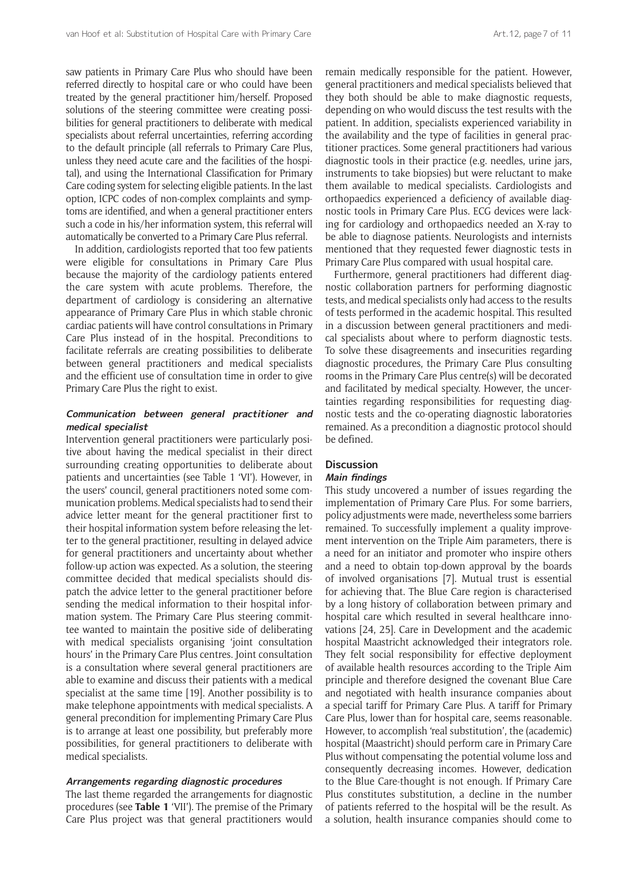saw patients in Primary Care Plus who should have been referred directly to hospital care or who could have been treated by the general practitioner him/herself. Proposed solutions of the steering committee were creating possibilities for general practitioners to deliberate with medical specialists about referral uncertainties, referring according to the default principle (all referrals to Primary Care Plus, unless they need acute care and the facilities of the hospital), and using the International Classification for Primary Care coding system for selecting eligible patients. In the last option, ICPC codes of non-complex complaints and symptoms are identified, and when a general practitioner enters such a code in his/her information system, this referral will automatically be converted to a Primary Care Plus referral.

In addition, cardiologists reported that too few patients were eligible for consultations in Primary Care Plus because the majority of the cardiology patients entered the care system with acute problems. Therefore, the department of cardiology is considering an alternative appearance of Primary Care Plus in which stable chronic cardiac patients will have control consultations in Primary Care Plus instead of in the hospital. Preconditions to facilitate referrals are creating possibilities to deliberate between general practitioners and medical specialists and the efficient use of consultation time in order to give Primary Care Plus the right to exist.

#### **Communication between general practitioner and medical specialist**

Intervention general practitioners were particularly positive about having the medical specialist in their direct surrounding creating opportunities to deliberate about patients and uncertainties (see Table 1 'VI'). However, in the users' council, general practitioners noted some communication problems. Medical specialists had to send their advice letter meant for the general practitioner first to their hospital information system before releasing the letter to the general practitioner, resulting in delayed advice for general practitioners and uncertainty about whether follow-up action was expected. As a solution, the steering committee decided that medical specialists should dispatch the advice letter to the general practitioner before sending the medical information to their hospital information system. The Primary Care Plus steering committee wanted to maintain the positive side of deliberating with medical specialists organising 'joint consultation hours' in the Primary Care Plus centres. Joint consultation is a consultation where several general practitioners are able to examine and discuss their patients with a medical specialist at the same time [19]. Another possibility is to make telephone appointments with medical specialists. A general precondition for implementing Primary Care Plus is to arrange at least one possibility, but preferably more possibilities, for general practitioners to deliberate with medical specialists.

#### **Arrangements regarding diagnostic procedures**

The last theme regarded the arrangements for diagnostic procedures (see **Table 1** 'VII'). The premise of the Primary Care Plus project was that general practitioners would remain medically responsible for the patient. However, general practitioners and medical specialists believed that they both should be able to make diagnostic requests, depending on who would discuss the test results with the patient. In addition, specialists experienced variability in the availability and the type of facilities in general practitioner practices. Some general practitioners had various diagnostic tools in their practice (e.g. needles, urine jars, instruments to take biopsies) but were reluctant to make them available to medical specialists. Cardiologists and orthopaedics experienced a deficiency of available diagnostic tools in Primary Care Plus. ECG devices were lacking for cardiology and orthopaedics needed an X-ray to be able to diagnose patients. Neurologists and internists mentioned that they requested fewer diagnostic tests in Primary Care Plus compared with usual hospital care.

Furthermore, general practitioners had different diagnostic collaboration partners for performing diagnostic tests, and medical specialists only had access to the results of tests performed in the academic hospital. This resulted in a discussion between general practitioners and medical specialists about where to perform diagnostic tests. To solve these disagreements and insecurities regarding diagnostic procedures, the Primary Care Plus consulting rooms in the Primary Care Plus centre(s) will be decorated and facilitated by medical specialty. However, the uncertainties regarding responsibilities for requesting diagnostic tests and the co-operating diagnostic laboratories remained. As a precondition a diagnostic protocol should be defined.

# **Discussion**

# **Main findings**

This study uncovered a number of issues regarding the implementation of Primary Care Plus. For some barriers, policy adjustments were made, nevertheless some barriers remained. To successfully implement a quality improvement intervention on the Triple Aim parameters, there is a need for an initiator and promoter who inspire others and a need to obtain top-down approval by the boards of involved organisations [7]. Mutual trust is essential for achieving that. The Blue Care region is characterised by a long history of collaboration between primary and hospital care which resulted in several healthcare innovations [24, 25]. Care in Development and the academic hospital Maastricht acknowledged their integrators role. They felt social responsibility for effective deployment of available health resources according to the Triple Aim principle and therefore designed the covenant Blue Care and negotiated with health insurance companies about a special tariff for Primary Care Plus. A tariff for Primary Care Plus, lower than for hospital care, seems reasonable. However, to accomplish 'real substitution', the (academic) hospital (Maastricht) should perform care in Primary Care Plus without compensating the potential volume loss and consequently decreasing incomes. However, dedication to the Blue Care-thought is not enough. If Primary Care Plus constitutes substitution, a decline in the number of patients referred to the hospital will be the result. As a solution, health insurance companies should come to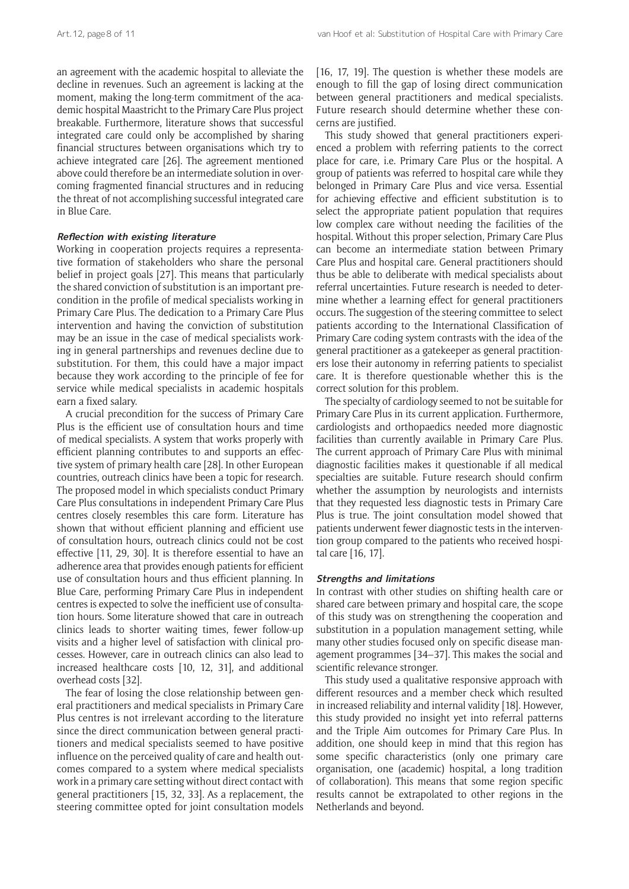an agreement with the academic hospital to alleviate the decline in revenues. Such an agreement is lacking at the moment, making the long-term commitment of the academic hospital Maastricht to the Primary Care Plus project breakable. Furthermore, literature shows that successful integrated care could only be accomplished by sharing financial structures between organisations which try to achieve integrated care [26]. The agreement mentioned above could therefore be an intermediate solution in overcoming fragmented financial structures and in reducing the threat of not accomplishing successful integrated care in Blue Care.

#### **Reflection with existing literature**

Working in cooperation projects requires a representative formation of stakeholders who share the personal belief in project goals [27]. This means that particularly the shared conviction of substitution is an important precondition in the profile of medical specialists working in Primary Care Plus. The dedication to a Primary Care Plus intervention and having the conviction of substitution may be an issue in the case of medical specialists working in general partnerships and revenues decline due to substitution. For them, this could have a major impact because they work according to the principle of fee for service while medical specialists in academic hospitals earn a fixed salary.

A crucial precondition for the success of Primary Care Plus is the efficient use of consultation hours and time of medical specialists. A system that works properly with efficient planning contributes to and supports an effective system of primary health care [28]. In other European countries, outreach clinics have been a topic for research. The proposed model in which specialists conduct Primary Care Plus consultations in independent Primary Care Plus centres closely resembles this care form. Literature has shown that without efficient planning and efficient use of consultation hours, outreach clinics could not be cost effective [11, 29, 30]. It is therefore essential to have an adherence area that provides enough patients for efficient use of consultation hours and thus efficient planning. In Blue Care, performing Primary Care Plus in independent centres is expected to solve the inefficient use of consultation hours. Some literature showed that care in outreach clinics leads to shorter waiting times, fewer follow-up visits and a higher level of satisfaction with clinical processes. However, care in outreach clinics can also lead to increased healthcare costs [10, 12, 31], and additional overhead costs [32].

The fear of losing the close relationship between general practitioners and medical specialists in Primary Care Plus centres is not irrelevant according to the literature since the direct communication between general practitioners and medical specialists seemed to have positive influence on the perceived quality of care and health outcomes compared to a system where medical specialists work in a primary care setting without direct contact with general practitioners [15, 32, 33]. As a replacement, the steering committee opted for joint consultation models

[16, 17, 19]. The question is whether these models are enough to fill the gap of losing direct communication between general practitioners and medical specialists. Future research should determine whether these concerns are justified.

This study showed that general practitioners experienced a problem with referring patients to the correct place for care, i.e. Primary Care Plus or the hospital. A group of patients was referred to hospital care while they belonged in Primary Care Plus and vice versa. Essential for achieving effective and efficient substitution is to select the appropriate patient population that requires low complex care without needing the facilities of the hospital. Without this proper selection, Primary Care Plus can become an intermediate station between Primary Care Plus and hospital care. General practitioners should thus be able to deliberate with medical specialists about referral uncertainties. Future research is needed to determine whether a learning effect for general practitioners occurs. The suggestion of the steering committee to select patients according to the International Classification of Primary Care coding system contrasts with the idea of the general practitioner as a gatekeeper as general practitioners lose their autonomy in referring patients to specialist care. It is therefore questionable whether this is the correct solution for this problem.

The specialty of cardiology seemed to not be suitable for Primary Care Plus in its current application. Furthermore, cardiologists and orthopaedics needed more diagnostic facilities than currently available in Primary Care Plus. The current approach of Primary Care Plus with minimal diagnostic facilities makes it questionable if all medical specialties are suitable. Future research should confirm whether the assumption by neurologists and internists that they requested less diagnostic tests in Primary Care Plus is true. The joint consultation model showed that patients underwent fewer diagnostic tests in the intervention group compared to the patients who received hospital care [16, 17].

#### **Strengths and limitations**

In contrast with other studies on shifting health care or shared care between primary and hospital care, the scope of this study was on strengthening the cooperation and substitution in a population management setting, while many other studies focused only on specific disease management programmes [34–37]. This makes the social and scientific relevance stronger.

This study used a qualitative responsive approach with different resources and a member check which resulted in increased reliability and internal validity [18]. However, this study provided no insight yet into referral patterns and the Triple Aim outcomes for Primary Care Plus. In addition, one should keep in mind that this region has some specific characteristics (only one primary care organisation, one (academic) hospital, a long tradition of collaboration). This means that some region specific results cannot be extrapolated to other regions in the Netherlands and beyond.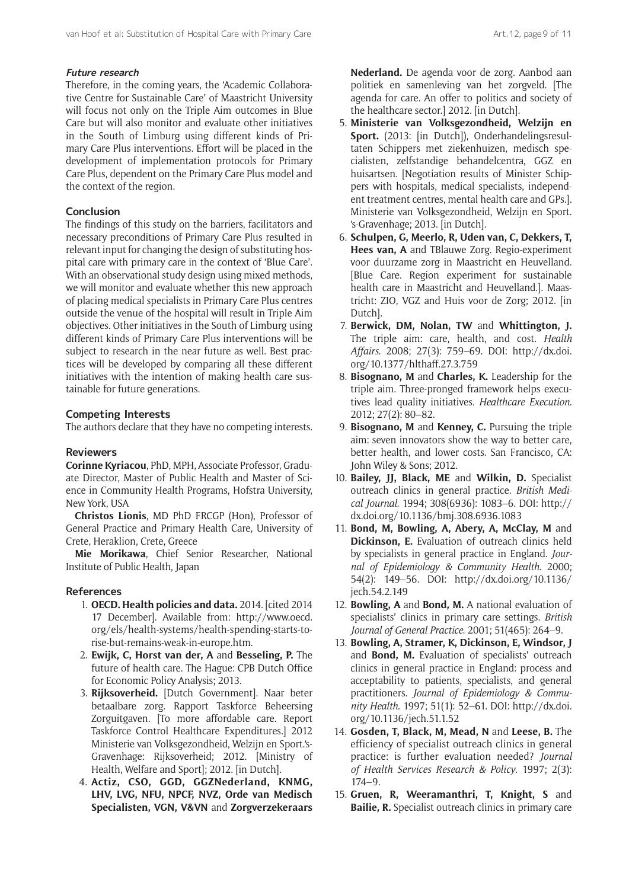#### **Future research**

Therefore, in the coming years, the 'Academic Collaborative Centre for Sustainable Care' of Maastricht University will focus not only on the Triple Aim outcomes in Blue Care but will also monitor and evaluate other initiatives in the South of Limburg using different kinds of Primary Care Plus interventions. Effort will be placed in the development of implementation protocols for Primary Care Plus, dependent on the Primary Care Plus model and the context of the region.

#### **Conclusion**

The findings of this study on the barriers, facilitators and necessary preconditions of Primary Care Plus resulted in relevant input for changing the design of substituting hospital care with primary care in the context of 'Blue Care'. With an observational study design using mixed methods, we will monitor and evaluate whether this new approach of placing medical specialists in Primary Care Plus centres outside the venue of the hospital will result in Triple Aim objectives. Other initiatives in the South of Limburg using different kinds of Primary Care Plus interventions will be subject to research in the near future as well. Best practices will be developed by comparing all these different initiatives with the intention of making health care sustainable for future generations.

#### **Competing Interests**

The authors declare that they have no competing interests.

#### **Reviewers**

**Corinne Kyriacou**, PhD, MPH, Associate Professor, Graduate Director, Master of Public Health and Master of Science in Community Health Programs, Hofstra University, New York, USA

**Christos Lionis**, MD PhD FRCGP (Hon), Professor of General Practice and Primary Health Care, University of Crete, Heraklion, Crete, Greece

**Mie Morikawa**, Chief Senior Researcher, National Institute of Public Health, Japan

#### **References**

- 1. **OECD. Health policies and data.** 2014. [cited 2014 17 December]. Available from: [http://www.oecd.](http://www.oecd.org/els/health-systems/health-spending-starts-to-rise-but-remains-weak-in-europe.htm) [org/els/health-systems/health-spending-starts-to](http://www.oecd.org/els/health-systems/health-spending-starts-to-rise-but-remains-weak-in-europe.htm)[rise-but-remains-weak-in-europe.htm](http://www.oecd.org/els/health-systems/health-spending-starts-to-rise-but-remains-weak-in-europe.htm).
- 2. **Ewijk, C, Horst van der, A** and **Besseling, P.** The future of health care. The Hague: CPB Dutch Office for Economic Policy Analysis; 2013.
- 3. **Rijksoverheid.** [Dutch Government]. Naar beter betaalbare zorg. Rapport Taskforce Beheersing Zorguitgaven. [To more affordable care. Report Taskforce Control Healthcare Expenditures.] 2012 Ministerie van Volksgezondheid, Welzijn en Sport.'s-Gravenhage: Rijksoverheid; 2012. [Ministry of Health, Welfare and Sport]; 2012. [in Dutch].
- 4. **Actiz, CSO, GGD, GGZNederland, KNMG, LHV, LVG, NFU, NPCF, NVZ, Orde van Medisch Specialisten, VGN, V&VN** and **Zorgverzekeraars**

**Nederland.** De agenda voor de zorg. Aanbod aan politiek en samenleving van het zorgveld. [The agenda for care. An offer to politics and society of the healthcare sector.] 2012. [in Dutch].

- 5. **Ministerie van Volksgezondheid, Welzijn en Sport.** (2013: [in Dutch]), Onderhandelingsresultaten Schippers met ziekenhuizen, medisch specialisten, zelfstandige behandelcentra, GGZ en huisartsen. [Negotiation results of Minister Schippers with hospitals, medical specialists, independent treatment centres, mental health care and GPs.]. Ministerie van Volksgezondheid, Welzijn en Sport. 's-Gravenhage; 2013. [in Dutch].
- 6. **Schulpen, G, Meerlo, R, Uden van, C, Dekkers, T, Hees van, A** and TBlauwe Zorg. Regio-experiment voor duurzame zorg in Maastricht en Heuvelland. [Blue Care. Region experiment for sustainable health care in Maastricht and Heuvelland.]. Maastricht: ZIO, VGZ and Huis voor de Zorg; 2012. [in Dutch].
- 7. **Berwick, DM, Nolan, TW** and **Whittington, J.** The triple aim: care, health, and cost. *Health Affairs*. 2008; 27(3): 759–69. DOI: [http://dx.doi.](http://dx.doi.org/10.1377/hlthaff.27.3.759) [org/10.1377/hlthaff.27.3.759](http://dx.doi.org/10.1377/hlthaff.27.3.759)
- 8. **Bisognano, M** and **Charles, K.** Leadership for the triple aim. Three-pronged framework helps executives lead quality initiatives. *Healthcare Execution*. 2012; 27(2): 80–82.
- 9. **Bisognano, M** and **Kenney, C.** Pursuing the triple aim: seven innovators show the way to better care, better health, and lower costs. San Francisco, CA: John Wiley & Sons; 2012.
- 10. **Bailey, JJ, Black, ME** and **Wilkin, D.** Specialist outreach clinics in general practice. *British Medical Journal*. 1994; 308(6936): 1083–6. DOI: [http://](http://dx.doi.org/10.1136/bmj.308.6936.1083) [dx.doi.org/10.1136/bmj.308.6936.1083](http://dx.doi.org/10.1136/bmj.308.6936.1083)
- 11. **Bond, M, Bowling, A, Abery, A, McClay, M** and **Dickinson, E.** Evaluation of outreach clinics held by specialists in general practice in England. *Journal of Epidemiology & Community Health*. 2000; 54(2): 149–56. DOI: [http://dx.doi.org/10.1136/](http://dx.doi.org/10.1136/jech.54.2.149) [jech.54.2.149](http://dx.doi.org/10.1136/jech.54.2.149)
- 12. **Bowling, A** and **Bond, M.** A national evaluation of specialists' clinics in primary care settings. *British Journal of General Practice*. 2001; 51(465): 264–9.
- 13. **Bowling, A, Stramer, K, Dickinson, E, Windsor, J** and **Bond, M.** Evaluation of specialists' outreach clinics in general practice in England: process and acceptability to patients, specialists, and general practitioners. *Journal of Epidemiology & Community Health*. 1997; 51(1): 52–61. DOI: [http://dx.doi.](http://dx.doi.org/10.1136/jech.51.1.52) [org/10.1136/jech.51.1.52](http://dx.doi.org/10.1136/jech.51.1.52)
- 14. **Gosden, T, Black, M, Mead, N** and **Leese, B.** The efficiency of specialist outreach clinics in general practice: is further evaluation needed? *Journal of Health Services Research & Policy*. 1997; 2(3): 174–9.
- 15. **Gruen, R, Weeramanthri, T, Knight, S** and **Bailie, R.** Specialist outreach clinics in primary care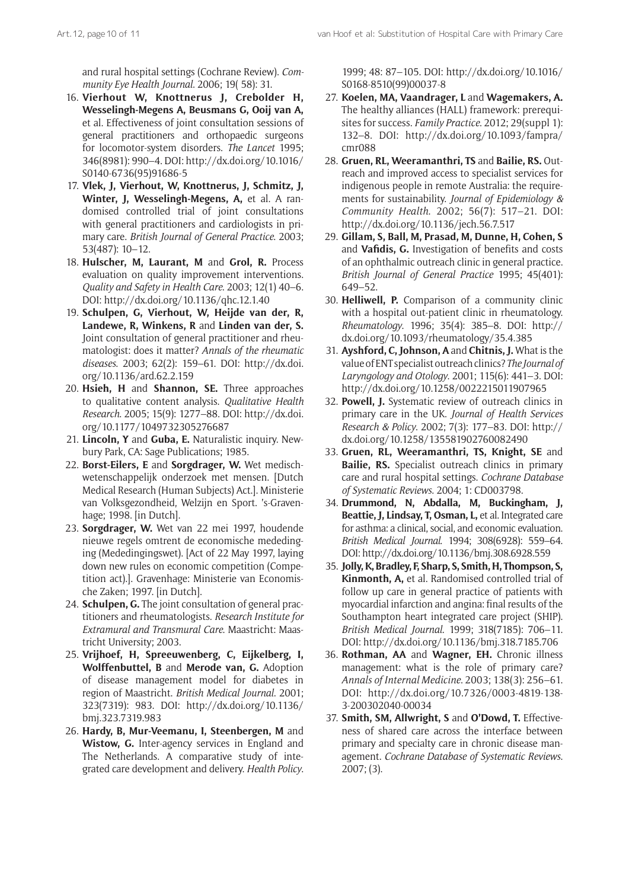and rural hospital settings (Cochrane Review). *Community Eye Health Journal*. 2006; 19( 58): 31.

- 16. **Vierhout W, Knottnerus J, Crebolder H, Wesselingh-Megens A, Beusmans G, Ooij van A,** et al. Effectiveness of joint consultation sessions of general practitioners and orthopaedic surgeons for locomotor-system disorders. *The Lancet* 1995; 346(8981): 990–4. DOI: [http://dx.doi.org/10.1016/](http://dx.doi.org/10.1016/S0140-6736%2895%2991686-5) [S0140-6736\(95\)91686-5](http://dx.doi.org/10.1016/S0140-6736%2895%2991686-5)
- 17. **Vlek, J, Vierhout, W, Knottnerus, J, Schmitz, J, Winter, J, Wesselingh-Megens, A,** et al. A randomised controlled trial of joint consultations with general practitioners and cardiologists in primary care. *British Journal of General Practice*. 2003; 53(487): 10–12.
- 18. **Hulscher, M, Laurant, M** and **Grol, R.** Process evaluation on quality improvement interventions. *Quality and Safety in Health Care*. 2003; 12(1) 40–6. DOI: <http://dx.doi.org/10.1136/qhc.12.1.40>
- 19. **Schulpen, G, Vierhout, W, Heijde van der, R, Landewe, R, Winkens, R** and **Linden van der, S.** Joint consultation of general practitioner and rheumatologist: does it matter? *Annals of the rheumatic diseases*. 2003; 62(2): 159–61. DOI: [http://dx.doi.](http://dx.doi.org/10.1136/ard.62.2.159) [org/10.1136/ard.62.2.159](http://dx.doi.org/10.1136/ard.62.2.159)
- 20. **Hsieh, H** and **Shannon, SE.** Three approaches to qualitative content analysis. *Qualitative Health Research*. 2005; 15(9): 1277–88. DOI: [http://dx.doi.](http://dx.doi.org/10.1177/1049732305276687) [org/10.1177/1049732305276687](http://dx.doi.org/10.1177/1049732305276687)
- 21. **Lincoln, Y** and **Guba, E.** Naturalistic inquiry. Newbury Park, CA: Sage Publications; 1985.
- 22. **Borst-Eilers, E** and **Sorgdrager, W.** Wet medischwetenschappelijk onderzoek met mensen. [Dutch Medical Research (Human Subjects) Act.]. Ministerie van Volksgezondheid, Welzijn en Sport. 's-Gravenhage; 1998. [in Dutch].
- 23. **Sorgdrager, W.** Wet van 22 mei 1997, houdende nieuwe regels omtrent de economische mededinging (Mededingingswet). [Act of 22 May 1997, laying down new rules on economic competition (Competition act).]. Gravenhage: Ministerie van Economische Zaken; 1997. [in Dutch].
- 24. **Schulpen, G.** The joint consultation of general practitioners and rheumatologists. *Research Institute for Extramural and Transmural Care*. Maastricht: Maastricht University; 2003.
- 25. **Vrijhoef, H, Spreeuwenberg, C, Eijkelberg, I, Wolffenbuttel, B** and **Merode van, G.** Adoption of disease management model for diabetes in region of Maastricht. *British Medical Journal*. 2001; 323(7319): 983. DOI: [http://dx.doi.org/10.1136/](http://dx.doi.org/10.1136/bmj.323.7319.983) [bmj.323.7319.983](http://dx.doi.org/10.1136/bmj.323.7319.983)
- 26. **Hardy, B, Mur-Veemanu, I, Steenbergen, M** and **Wistow, G.** Inter-agency services in England and The Netherlands. A comparative study of integrated care development and delivery. *Health Policy*.

1999; 48: 87–105. DOI: [http://dx.doi.org/10.1016/](http://dx.doi.org/10.1016/S0168-8510%2899%2900037-8) [S0168-8510\(99\)00037-8](http://dx.doi.org/10.1016/S0168-8510%2899%2900037-8)

- 27. **Koelen, MA, Vaandrager, L** and **Wagemakers, A.** The healthy alliances (HALL) framework: prerequisites for success. *Family Practice*. 2012; 29(suppl 1): 132–8. DOI: [http://dx.doi.org/10.1093/fampra/](http://dx.doi.org/10.1093/fampra/cmr088) [cmr088](http://dx.doi.org/10.1093/fampra/cmr088)
- 28. **Gruen, RL, Weeramanthri, TS** and **Bailie, RS.** Outreach and improved access to specialist services for indigenous people in remote Australia: the requirements for sustainability. *Journal of Epidemiology & Community Health*. 2002; 56(7): 517–21. DOI: <http://dx.doi.org/10.1136/jech.56.7.517>
- 29. **Gillam, S, Ball, M, Prasad, M, Dunne, H, Cohen, S** and **Vafidis, G.** Investigation of benefits and costs of an ophthalmic outreach clinic in general practice. *British Journal of General Practice* 1995; 45(401): 649–52.
- 30. **Helliwell, P.** Comparison of a community clinic with a hospital out-patient clinic in rheumatology. *Rheumatology*. 1996; 35(4): 385–8. DOI: [http://](http://dx.doi.org/10.1093/rheumatology/35.4.385) [dx.doi.org/10.1093/rheumatology/35.4.385](http://dx.doi.org/10.1093/rheumatology/35.4.385)
- 31. **Ayshford, C, Johnson, A** and **Chitnis, J.** What is the value of ENT specialist outreach clinics? *The Journal of Laryngology and Otology*. 2001; 115(6): 441–3. DOI: <http://dx.doi.org/10.1258/0022215011907965>
- 32. **Powell, J.** Systematic review of outreach clinics in primary care in the UK. *Journal of Health Services Research & Policy*. 2002; 7(3): 177–83. DOI: [http://](http://dx.doi.org/10.1258/135581902760082490) [dx.doi.org/10.1258/135581902760082490](http://dx.doi.org/10.1258/135581902760082490)
- 33. **Gruen, RL, Weeramanthri, TS, Knight, SE** and **Bailie, RS.** Specialist outreach clinics in primary care and rural hospital settings. *Cochrane Database of Systematic Reviews*. 2004; 1: CD003798.
- 34. **Drummond, N, Abdalla, M, Buckingham, J, Beattie, J, Lindsay, T, Osman, L,** et al. Integrated care for asthma: a clinical, social, and economic evaluation. *British Medical Journal*. 1994; 308(6928): 559–64. DOI:<http://dx.doi.org/10.1136/bmj.308.6928.559>
- 35. **Jolly, K, Bradley, F, Sharp, S, Smith, H, Thompson, S, Kinmonth, A,** et al. Randomised controlled trial of follow up care in general practice of patients with myocardial infarction and angina: final results of the Southampton heart integrated care project (SHIP). *British Medical Journal*. 1999; 318(7185): 706–11. DOI:<http://dx.doi.org/10.1136/bmj.318.7185.706>
- 36. **Rothman, AA** and **Wagner, EH.** Chronic illness management: what is the role of primary care? *Annals of Internal Medicine*. 2003; 138(3): 256–61. DOI: [http://dx.doi.org/10.7326/0003-4819-138-](http://dx.doi.org/10.7326/0003-4819-138-3-200302040-00034) [3-200302040-00034](http://dx.doi.org/10.7326/0003-4819-138-3-200302040-00034)
- 37. **Smith, SM, Allwright, S** and **O'Dowd, T.** Effectiveness of shared care across the interface between primary and specialty care in chronic disease management. *Cochrane Database of Systematic Reviews*. 2007; (3).